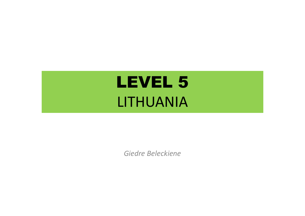# LEVEL 5LITHUANIA

*Giedre Beleckiene*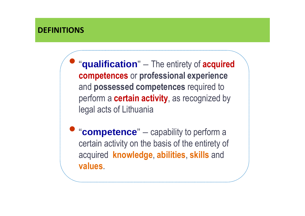#### **DEFINITIONS**

•"**qualification**" – The entirety of **acquired competences** or **professional experience**  and **possessed competences** required to perform a **certain activity**, as recognized by legal acts of Lithuania

**• "competence"** – capability to perform a certain activity on the basis of the entirety of acquired **knowledge**, **abilities**, **skills** and **values**.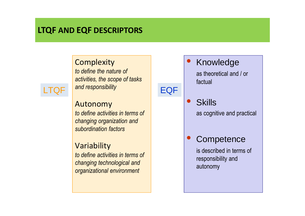## **LTQF AND EQF DESCRIPTORS**

#### **Complexity**

 *to define the nature of activities, the scope of tasks* F <sup>and responsibility **EQF**</sup>



LTQF

 *to define activities in terms of changing organization and subordination factors*

#### Variability

 *to define activities in terms of changing technological and organizational environment*

Knowledge

 $\bullet$ 

as theoretical and / or factual

 $\bullet$ **Skills** as cognitive and practical

#### $\bullet$ **Competence**

is described in terms of responsibility and autonomy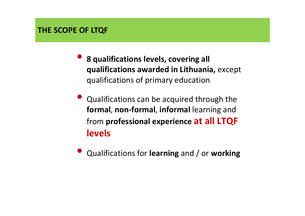#### **THE SCOPE OF LTQF**

- **8 qualifications levels, covering all qualifications awarded in Lithuania,** except qualifications of primary education
- $\bullet$  Qualifications can be acquired through the **formal**, **non-formal**, **informal** learning and from **professional experience at all LTQF levels**
- $\bullet$ Qualifications for **learning** and / or **working**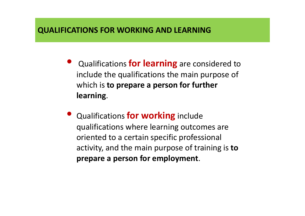#### **QUALIFICATIONS FOR WORKING AND LEARNING**

- $\bullet$  Qualifications **for learning** are considered to include the qualifications the main purpose of which is **to prepare a person for further learning**.
- $\bullet$  Qualifications **for working** include qualifications where learning outcomes are oriented to a certain specific professional activity, and the main purpose of training is **to prepare a person for employment**.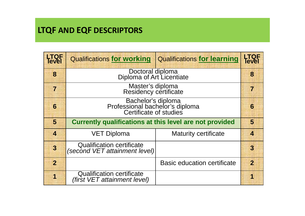# **LTQF AND EQF DESCRIPTORS**

| <b>LTQF</b><br>Tevel    | <b>Qualifications for working</b>                                               | <b>Qualifications for learning</b> | <b>LTQF</b><br><b>Tevel</b> |
|-------------------------|---------------------------------------------------------------------------------|------------------------------------|-----------------------------|
| 8                       | Doctoral diploma<br>Diploma of Art Licentiate                                   |                                    | 8                           |
| $\overline{7}$          | Master's diploma<br>Residency certificate                                       |                                    | 7                           |
| 6                       | Bachelor's diploma<br>Professional bachelor's diploma<br>Certificate of studies |                                    | 6                           |
| 5                       | Currently qualifications at this level are not provided                         |                                    | $\overline{\mathbf{5}}$     |
| $\overline{\mathbf{A}}$ | <b>VET Diploma</b>                                                              | <b>Maturity certificate</b>        | $\overline{\mathbf{A}}$     |
| $\overline{3}$          | <b>Qualification certificate</b><br>(second VET attainment level)               |                                    | $\overline{3}$              |
| $\overline{2}$          |                                                                                 | <b>Basic education certificate</b> | $\overline{2}$              |
|                         | <b>Qualification certificate</b><br>(first VET attainment level)                |                                    | 1                           |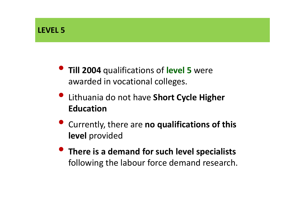- **Till 2004** qualifications of **level 5** were awarded in vocational colleges.
- $\bullet$  Lithuania do not have **Short Cycle Higher Education**
- $\bullet$  Currently, there are **no qualifications of this level** provided
- $\bullet$  **There is a demand for such level specialists** following the labour force demand research.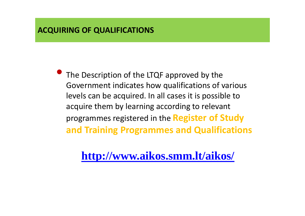#### **ACQUIRING OF QUALIFICATIONS**

 $\bullet$  The Description of the LTQF approved by the Government indicates how qualifications of various levels can be acquired. In all cases it is possible to acquire them by learning according to relevant programmes registered in the **Register of Study and Training Programmes and Qualifications**

**http://www.aikos.smm.lt/aikos/**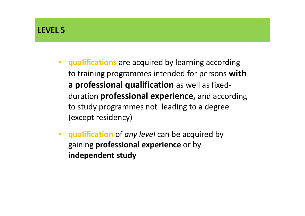#### **LEVEL 5**

- **qualifications** are acquired by learning according to training programmes intended for persons **with a professional qualification** as well as fixedduration **professional experience,** and according to study programmes not leading to a degree (except residency)
- • **qualification** of *any level* can be acquired by gaining **professional experience** or by **independent study**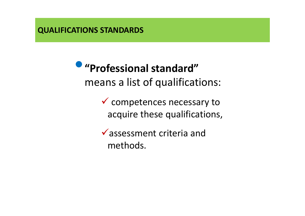**QUALIFICATIONS STANDARDS**

 $\bullet$  **"Professional standard"**  means a list of qualifications:

> Competences necessary to acquire these qualifications,

 $\checkmark$  assessment criteria and methods.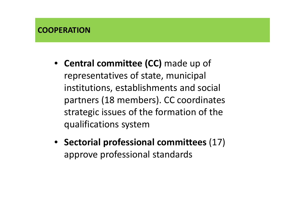- **Central committee (CC)** made up of representatives of state, municipal institutions, establishments and social partners (18 members). CC coordinates strategic issues of the formation of the qualifications system
- **Sectorial professional committees** (17) approve professional standards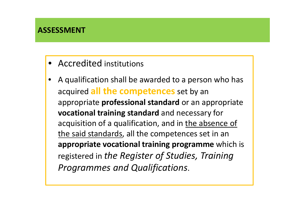- Accredited institutions
- • A qualification shall be awarded to a person who has acquired **all the competences** set by an appropriate **professional standard** or an appropriate **vocational training standard** and necessary for acquisition of a qualification, and in the absence of the said standards, all the competences set in an **appropriate vocational training programme** which is registered in *the Register of Studies, Training Programmes and Qualifications*.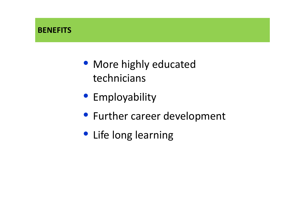### **BENEFITS**

- More highly educated technicians
- Employability
- Further career development
- Life long learning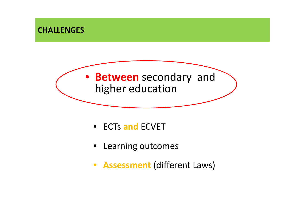

- ECTs **and** ECVET
- Learning outcomes
- **Assessment** (different Laws)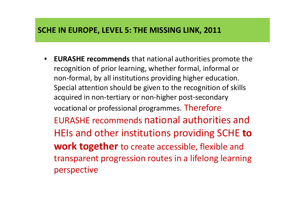#### **SCHE IN EUROPE, LEVEL 5: THE MISSING LINK, 2011**

• **EURASHE recommends** that national authorities promote the recognition of prior learning, whether formal, informal or non-formal, by all institutions providing higher education. Special attention should be given to the recognition of skills acquired in non-tertiary or non-higher post-secondary vocational or professional programmes. Therefore EURASHE recommends national authorities and HEIs and other institutions providing SCHE **to work together** to create accessible, flexible and transparent progression routes in a lifelong learning perspective